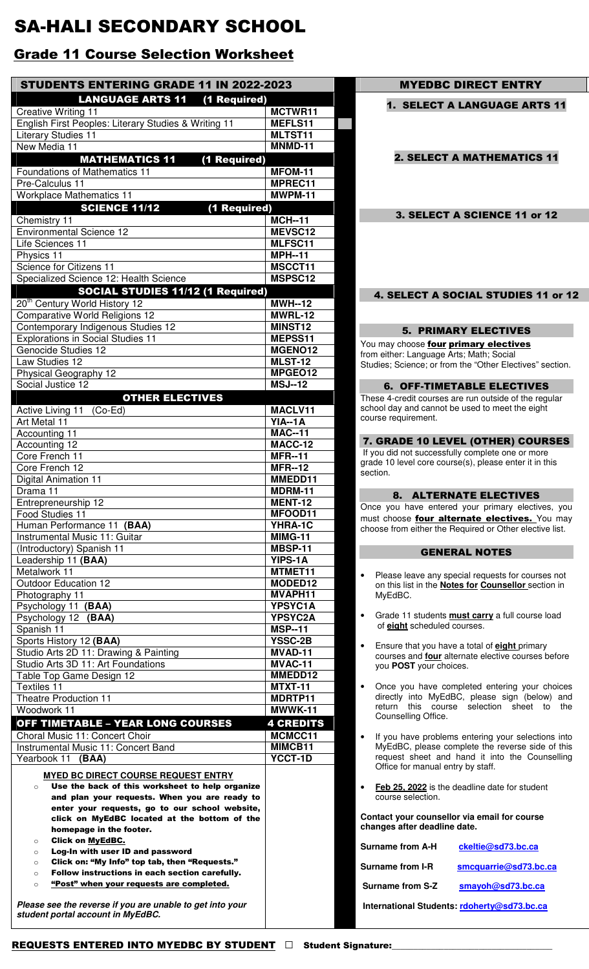## SA-HALI SECONDARY SCHOOL

## Grade 11 Course Selection Worksheet

| <b>STUDENTS ENTERING GRADE 11 IN 2022-2023</b>                                                |                                  |  |
|-----------------------------------------------------------------------------------------------|----------------------------------|--|
| <b>LANGUAGE ARTS 11</b><br>(1 Required)                                                       |                                  |  |
| <b>Creative Writing 11</b>                                                                    | MCTWR11                          |  |
| English First Peoples: Literary Studies & Writing 11                                          | MEFLS11                          |  |
| <b>Literary Studies 11</b>                                                                    | MLTST11                          |  |
| New Media 11                                                                                  | MNMD-11                          |  |
| <b>MATHEMATICS 11</b><br>(1 Required)<br>Foundations of Mathematics 11                        | MFOM-11                          |  |
| Pre-Calculus 11                                                                               | MPREC11                          |  |
| <b>Workplace Mathematics 11</b>                                                               | MWPM-11                          |  |
| <b>SCIENCE 11/12</b><br>(1 Required)                                                          |                                  |  |
| Chemistry 11                                                                                  | <b>MCH--11</b>                   |  |
| <b>Environmental Science 12</b>                                                               | MEVSC12                          |  |
| Life Sciences 11                                                                              | MLFSC11                          |  |
| Physics 11                                                                                    | <b>MPH--11</b><br>MSCCT11        |  |
| Science for Citizens 11<br>Specialized Science 12: Health Science                             | MSPSC12                          |  |
| <b>SOCIAL STUDIES 11/12 (1 Required)</b>                                                      |                                  |  |
| 20 <sup>th</sup> Century World History 12                                                     | <b>MWH--12</b>                   |  |
| <b>Comparative World Religions 12</b>                                                         | <b>MWRL-12</b>                   |  |
| Contemporary Indigenous Studies 12                                                            | MINST12                          |  |
| <b>Explorations in Social Studies 11</b>                                                      | MEPSS11                          |  |
| Genocide Studies 12                                                                           | MGENO12                          |  |
| Law Studies 12                                                                                | <b>MLST-12</b><br>MPGE012        |  |
| Physical Geography 12<br>Social Justice 12                                                    | $MSJ-12$                         |  |
| <b>OTHER ELECTIVES</b>                                                                        |                                  |  |
| Active Living 11 (Co-Ed)                                                                      | MACLV11                          |  |
| Art Metal 11                                                                                  | <b>YIA--1A</b>                   |  |
| Accounting 11                                                                                 | <b>MAC--11</b>                   |  |
| Accounting 12                                                                                 | MACC-12                          |  |
| Core French 11                                                                                | <b>MFR--11</b>                   |  |
| Core French 12                                                                                | <b>MFR--12</b><br>MMEDD11        |  |
| Digital Animation 11<br>Drama 11                                                              | MDRM-11                          |  |
| Entrepreneurship 12                                                                           | MENT-12                          |  |
| Food Studies 11                                                                               | MFOOD11                          |  |
| Human Performance 11 (BAA)                                                                    | YHRA-1C                          |  |
| Instrumental Music 11: Guitar                                                                 | <b>MIMG-11</b>                   |  |
| (Introductory) Spanish 11                                                                     | MBSP-11                          |  |
| Leadership 11 (BAA)<br>Metalwork 11                                                           | YIPS-1A<br>MTMET11               |  |
| <b>Outdoor Education 12</b>                                                                   | MODED12                          |  |
| Photography 11                                                                                | MVAPH11                          |  |
| Psychology 11 (BAA)                                                                           | YPSYC1A                          |  |
| Psychology 12<br>(BAA)                                                                        | <b>YPSYC2A</b>                   |  |
| Spanish 11                                                                                    | <b>MSP--11</b>                   |  |
| Sports History 12 (BAA)                                                                       | <b>YSSC-2B</b><br><b>MVAD-11</b> |  |
| Studio Arts 2D 11: Drawing & Painting<br>Studio Arts 3D 11: Art Foundations                   | MVAC-11                          |  |
| Table Top Game Design 12                                                                      | MMEDD12                          |  |
| Textiles 11                                                                                   | <b>MTXT-11</b>                   |  |
| <b>Theatre Production 11</b>                                                                  | MDRTP11                          |  |
| Woodwork 11                                                                                   | MWWK-11                          |  |
| <b>OFF TIMETABLE - YEAR LONG COURSES</b>                                                      | <b>4 CREDITS</b>                 |  |
| Choral Music 11: Concert Choir                                                                | MCMCC11                          |  |
| Instrumental Music 11: Concert Band                                                           | MIMCB11<br><b>YCCT-1D</b>        |  |
| Yearbook 11<br>(BAA)                                                                          |                                  |  |
| <b>MYED BC DIRECT COURSE REQUEST ENTRY</b><br>Use the back of this worksheet to help organize |                                  |  |
| $\circ$<br>and plan your requests. When you are ready to                                      |                                  |  |
| enter your requests, go to our school website,                                                |                                  |  |
| click on MyEdBC located at the bottom of the                                                  |                                  |  |
| homepage in the footer.                                                                       |                                  |  |
| <b>Click on MyEdBC.</b><br>$\circ$<br>Log-In with user ID and password<br>$\circ$             |                                  |  |
| Click on: "My Info" top tab, then "Requests."<br>$\circ$                                      |                                  |  |
| Follow instructions in each section carefully.<br>$\circ$                                     |                                  |  |
| "Post" when your requests are completed.<br>$\circ$                                           |                                  |  |
| Please see the reverse if you are unable to get into your                                     |                                  |  |
|                                                                                               |                                  |  |

## 2. SELECT A MATHEMATICS 11 3. SELECT A SCIENCE 11 or 12 4. SELECT A SOCIAL STUDIES 11 or 12 5. PRIMARY ELECTIVES You may choose *four primary electives* from either: Language Arts; Math; Social Studies; Science; or from the "Other Electives" section. 6. OFF-TIMETABLE ELECTIVES These 4-credit courses are run outside of the regular school day and cannot be used to meet the eight course requirement. 7. GRADE 10 LEVEL (OTHER) COURSES If you did not successfully complete one or more grade 10 level core course(s), please enter it in this section. 8. ALTERNATE ELECTIVES Once you have entered your primary electives, you must choose four alternate electives. You may choose from either the Required or Other elective list. GENERAL NOTES Please leave any special requests for courses not on this list in the **Notes for Counsellor** section in MyEdBC. • Grade 11 students **must carry** a full course load of **eight** scheduled courses. • Ensure that you have a total of **eight** primary courses and **four** alternate elective courses before you **POST** your choices. • Once you have completed entering your choices directly into MyEdBC, please sign (below) and return this course selection sheet to the Counselling Office. If you have problems entering your selections into MyEdBC, please complete the reverse side of this request sheet and hand it into the Counselling Office for manual entry by staff. **Feb 25, 2022** is the deadline date for student course selection. **Contact your counsellor via email for course changes after deadline date.**  Surname from A-H ckeltie@sd73.bc.ca Surname from I-R smcquarrie@sd73.bc.ca Surname from S-Z smayoh@sd73.bc.ca **International Students: rdoherty@sd73.bc.ca** REQUESTS ENTERED INTO MYEDBC BY STUDENT **Detail of Student Signature:**

**MYEDBC DIRECT ENTRY** 

1. SELECT A LANGUAGE ARTS 11